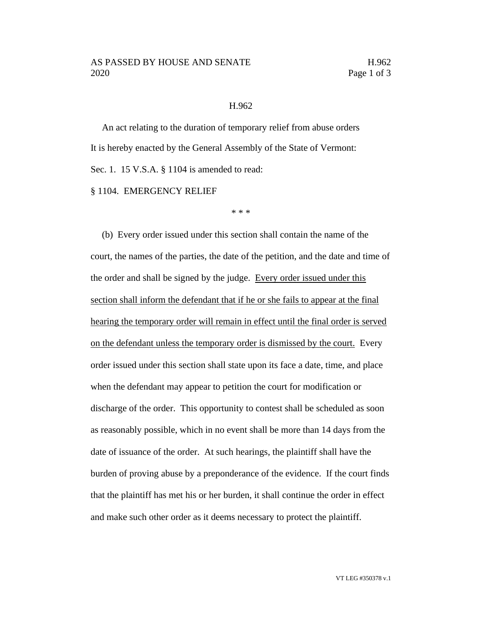## H.962

An act relating to the duration of temporary relief from abuse orders It is hereby enacted by the General Assembly of the State of Vermont: Sec. 1. 15 V.S.A. § 1104 is amended to read:

§ 1104. EMERGENCY RELIEF

\* \* \*

(b) Every order issued under this section shall contain the name of the court, the names of the parties, the date of the petition, and the date and time of the order and shall be signed by the judge. Every order issued under this section shall inform the defendant that if he or she fails to appear at the final hearing the temporary order will remain in effect until the final order is served on the defendant unless the temporary order is dismissed by the court. Every order issued under this section shall state upon its face a date, time, and place when the defendant may appear to petition the court for modification or discharge of the order. This opportunity to contest shall be scheduled as soon as reasonably possible, which in no event shall be more than 14 days from the date of issuance of the order. At such hearings, the plaintiff shall have the burden of proving abuse by a preponderance of the evidence. If the court finds that the plaintiff has met his or her burden, it shall continue the order in effect and make such other order as it deems necessary to protect the plaintiff.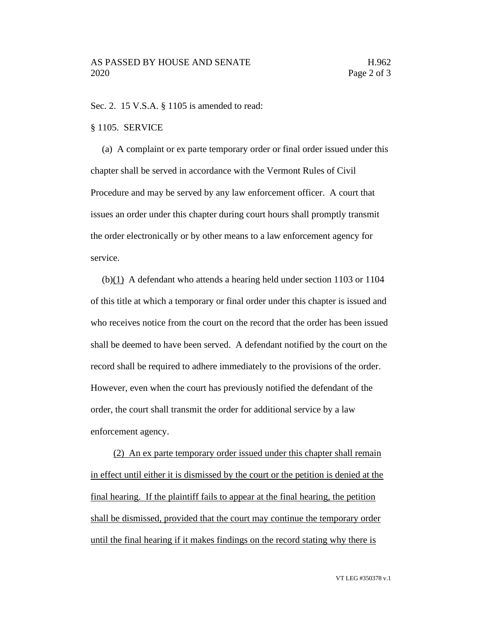Sec. 2. 15 V.S.A. § 1105 is amended to read:

## § 1105. SERVICE

(a) A complaint or ex parte temporary order or final order issued under this chapter shall be served in accordance with the Vermont Rules of Civil Procedure and may be served by any law enforcement officer. A court that issues an order under this chapter during court hours shall promptly transmit the order electronically or by other means to a law enforcement agency for service.

 $(b)(1)$  A defendant who attends a hearing held under section 1103 or 1104 of this title at which a temporary or final order under this chapter is issued and who receives notice from the court on the record that the order has been issued shall be deemed to have been served. A defendant notified by the court on the record shall be required to adhere immediately to the provisions of the order. However, even when the court has previously notified the defendant of the order, the court shall transmit the order for additional service by a law enforcement agency.

(2) An ex parte temporary order issued under this chapter shall remain in effect until either it is dismissed by the court or the petition is denied at the final hearing. If the plaintiff fails to appear at the final hearing, the petition shall be dismissed, provided that the court may continue the temporary order until the final hearing if it makes findings on the record stating why there is